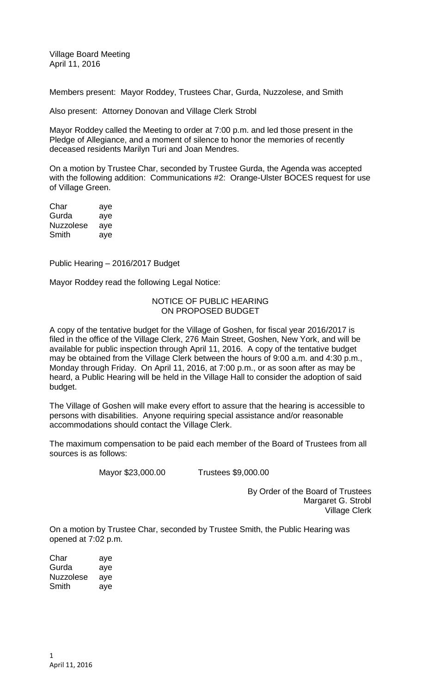Village Board Meeting April 11, 2016

Members present: Mayor Roddey, Trustees Char, Gurda, Nuzzolese, and Smith

Also present: Attorney Donovan and Village Clerk Strobl

Mayor Roddey called the Meeting to order at 7:00 p.m. and led those present in the Pledge of Allegiance, and a moment of silence to honor the memories of recently deceased residents Marilyn Turi and Joan Mendres.

On a motion by Trustee Char, seconded by Trustee Gurda, the Agenda was accepted with the following addition: Communications #2: Orange-Ulster BOCES request for use of Village Green.

Char aye Gurda aye Nuzzolese aye Smith aye

Public Hearing – 2016/2017 Budget

Mayor Roddey read the following Legal Notice:

## NOTICE OF PUBLIC HEARING ON PROPOSED BUDGET

A copy of the tentative budget for the Village of Goshen, for fiscal year 2016/2017 is filed in the office of the Village Clerk, 276 Main Street, Goshen, New York, and will be available for public inspection through April 11, 2016. A copy of the tentative budget may be obtained from the Village Clerk between the hours of 9:00 a.m. and 4:30 p.m., Monday through Friday. On April 11, 2016, at 7:00 p.m., or as soon after as may be heard, a Public Hearing will be held in the Village Hall to consider the adoption of said budget.

The Village of Goshen will make every effort to assure that the hearing is accessible to persons with disabilities. Anyone requiring special assistance and/or reasonable accommodations should contact the Village Clerk.

The maximum compensation to be paid each member of the Board of Trustees from all sources is as follows:

Mayor \$23,000.00 Trustees \$9,000.00

By Order of the Board of Trustees Margaret G. Strobl Village Clerk

On a motion by Trustee Char, seconded by Trustee Smith, the Public Hearing was opened at 7:02 p.m.

Char aye Gurda aye Nuzzolese aye Smith aye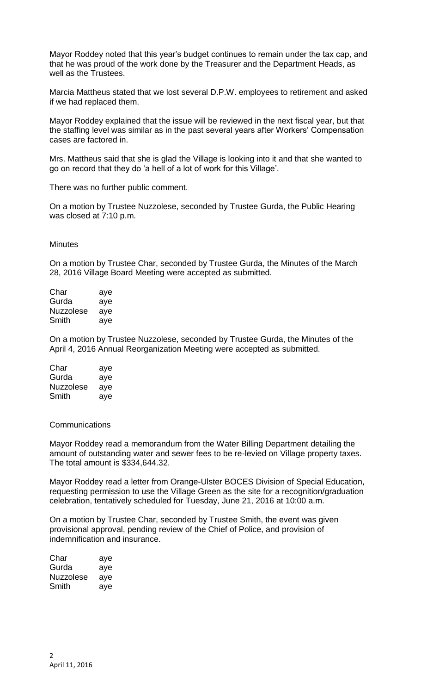Mayor Roddey noted that this year's budget continues to remain under the tax cap, and that he was proud of the work done by the Treasurer and the Department Heads, as well as the Trustees.

Marcia Mattheus stated that we lost several D.P.W. employees to retirement and asked if we had replaced them.

Mayor Roddey explained that the issue will be reviewed in the next fiscal year, but that the staffing level was similar as in the past several years after Workers' Compensation cases are factored in.

Mrs. Mattheus said that she is glad the Village is looking into it and that she wanted to go on record that they do 'a hell of a lot of work for this Village'.

There was no further public comment.

On a motion by Trustee Nuzzolese, seconded by Trustee Gurda, the Public Hearing was closed at 7:10 p.m.

**Minutes** 

On a motion by Trustee Char, seconded by Trustee Gurda, the Minutes of the March 28, 2016 Village Board Meeting were accepted as submitted.

| Char             | aye |
|------------------|-----|
| Gurda            | aye |
| <b>Nuzzolese</b> | aye |
| Smith            | ave |

On a motion by Trustee Nuzzolese, seconded by Trustee Gurda, the Minutes of the April 4, 2016 Annual Reorganization Meeting were accepted as submitted.

| Char             | aye |
|------------------|-----|
| Gurda            | aye |
| <b>Nuzzolese</b> | aye |
| Smith            | ave |

**Communications** 

Mayor Roddey read a memorandum from the Water Billing Department detailing the amount of outstanding water and sewer fees to be re-levied on Village property taxes. The total amount is \$334,644.32.

Mayor Roddey read a letter from Orange-Ulster BOCES Division of Special Education, requesting permission to use the Village Green as the site for a recognition/graduation celebration, tentatively scheduled for Tuesday, June 21, 2016 at 10:00 a.m.

On a motion by Trustee Char, seconded by Trustee Smith, the event was given provisional approval, pending review of the Chief of Police, and provision of indemnification and insurance.

| Char      | aye |
|-----------|-----|
| Gurda     | aye |
| Nuzzolese | aye |
| Smith     | aye |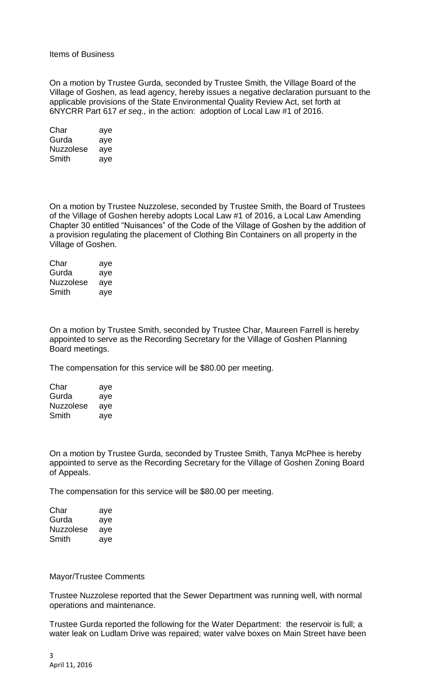## Items of Business

On a motion by Trustee Gurda, seconded by Trustee Smith, the Village Board of the Village of Goshen, as lead agency, hereby issues a negative declaration pursuant to the applicable provisions of the State Environmental Quality Review Act, set forth at 6NYCRR Part 617 *et seq.,* in the action: adoption of Local Law #1 of 2016.

| Char      | aye |
|-----------|-----|
| Gurda     | aye |
| Nuzzolese | aye |
| Smith     | aye |

On a motion by Trustee Nuzzolese, seconded by Trustee Smith, the Board of Trustees of the Village of Goshen hereby adopts Local Law #1 of 2016, a Local Law Amending Chapter 30 entitled "Nuisances" of the Code of the Village of Goshen by the addition of a provision regulating the placement of Clothing Bin Containers on all property in the Village of Goshen.

| Char             | aye |
|------------------|-----|
| Gurda            | aye |
| <b>Nuzzolese</b> | aye |
| Smith            | aye |

On a motion by Trustee Smith, seconded by Trustee Char, Maureen Farrell is hereby appointed to serve as the Recording Secretary for the Village of Goshen Planning Board meetings.

The compensation for this service will be \$80.00 per meeting.

| Char             | aye |
|------------------|-----|
| Gurda            | aye |
| <b>Nuzzolese</b> | aye |
| Smith            | ave |

On a motion by Trustee Gurda, seconded by Trustee Smith, Tanya McPhee is hereby appointed to serve as the Recording Secretary for the Village of Goshen Zoning Board of Appeals.

The compensation for this service will be \$80.00 per meeting.

| Char             | aye |
|------------------|-----|
| Gurda            | aye |
| <b>Nuzzolese</b> | aye |
| Smith            | aye |

Mayor/Trustee Comments

Trustee Nuzzolese reported that the Sewer Department was running well, with normal operations and maintenance.

Trustee Gurda reported the following for the Water Department: the reservoir is full; a water leak on Ludlam Drive was repaired; water valve boxes on Main Street have been